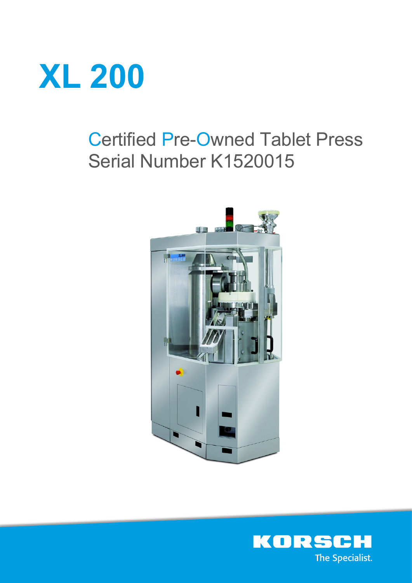

# Certified Pre-Owned Tablet Press Serial Number K1520015



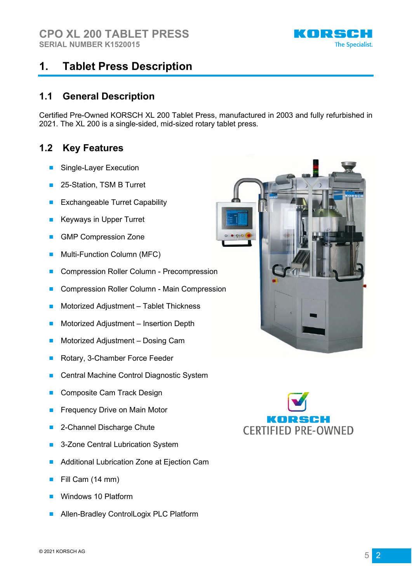

### **1. Tablet Press Description**

### **1.1 General Description**

Certified Pre-Owned KORSCH XL 200 Tablet Press, manufactured in 2003 and fully refurbished in 2021. The XL 200 is a single-sided, mid-sized rotary tablet press.

### **1.2 Key Features**

- Single-Layer Execution
- 25-Station, TSM B Turret
- Exchangeable Turret Capability
- **Keyways in Upper Turret**
- **GMP Compression Zone**
- Multi-Function Column (MFC)
- Compression Roller Column Precompression
- Compression Roller Column Main Compression
- Motorized Adjustment Tablet Thickness
- Motorized Adjustment Insertion Depth
- Motorized Adjustment Dosing Cam
- Rotary, 3-Chamber Force Feeder
- Central Machine Control Diagnostic System
- Composite Cam Track Design
- Frequency Drive on Main Motor
- 2-Channel Discharge Chute
- 3-Zone Central Lubrication System
- Additional Lubrication Zone at Ejection Cam
- Fill Cam (14 mm)
- Windows 10 Platform
- Allen-Bradley ControlLogix PLC Platform



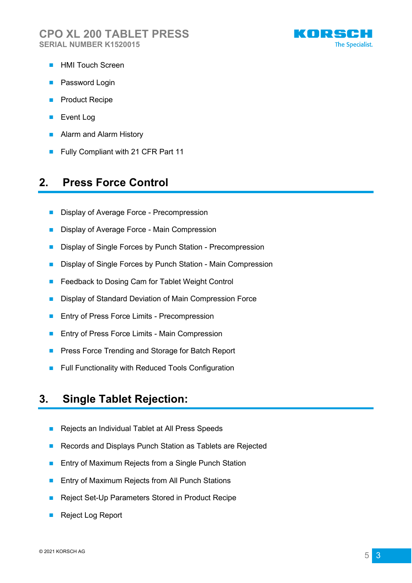

- HMI Touch Screen
- Password Login
- Product Recipe
- Event Log
- Alarm and Alarm History
- Fully Compliant with 21 CFR Part 11

### **2. Press Force Control**

- Display of Average Force Precompression
- Display of Average Force Main Compression
- Display of Single Forces by Punch Station Precompression
- Display of Single Forces by Punch Station Main Compression
- Feedback to Dosing Cam for Tablet Weight Control
- Display of Standard Deviation of Main Compression Force
- Entry of Press Force Limits Precompression
- Entry of Press Force Limits Main Compression
- Press Force Trending and Storage for Batch Report
- Full Functionality with Reduced Tools Configuration

### **3. Single Tablet Rejection:**

- Rejects an Individual Tablet at All Press Speeds
- Records and Displays Punch Station as Tablets are Rejected
- Entry of Maximum Rejects from a Single Punch Station
- Entry of Maximum Rejects from All Punch Stations
- Reject Set-Up Parameters Stored in Product Recipe
- Reject Log Report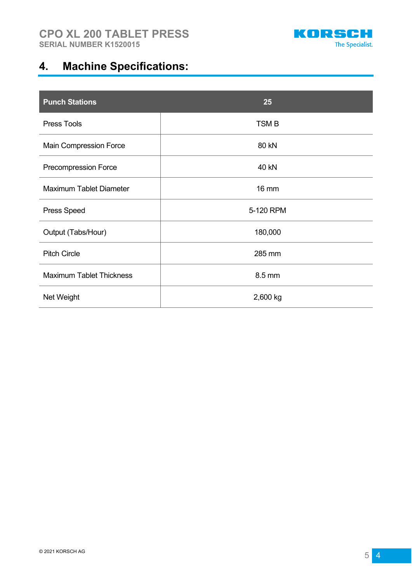

# **4. Machine Specifications:**

| <b>Punch Stations</b>           | 25           |
|---------------------------------|--------------|
| Press Tools                     | <b>TSMB</b>  |
| Main Compression Force          | 80 kN        |
| Precompression Force            | <b>40 kN</b> |
| Maximum Tablet Diameter         | <b>16 mm</b> |
| Press Speed                     | 5-120 RPM    |
| Output (Tabs/Hour)              | 180,000      |
| <b>Pitch Circle</b>             | 285 mm       |
| <b>Maximum Tablet Thickness</b> | 8.5 mm       |
| Net Weight                      | 2,600 kg     |